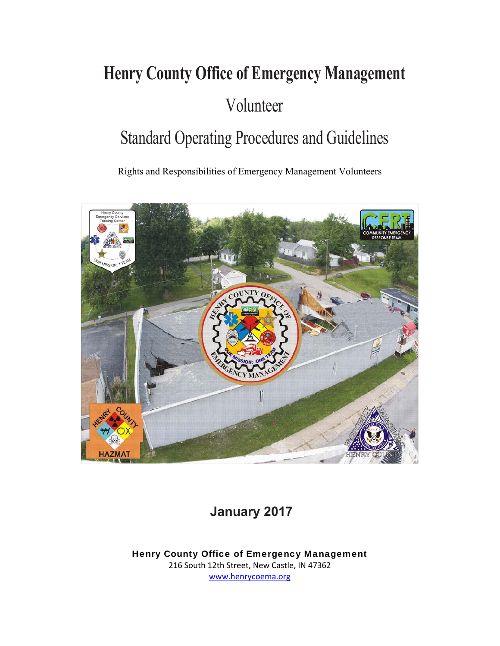# **Henry County Office of Emergency Management**  Volunteer

# Standard Operating Procedures and Guidelines

Rights and Responsibilities of Emergency Management Volunteers



# **January 2017**

Henry County Office of Emergency Management 216 South 12th Street, New Castle, IN 47362 www.henrycoema.org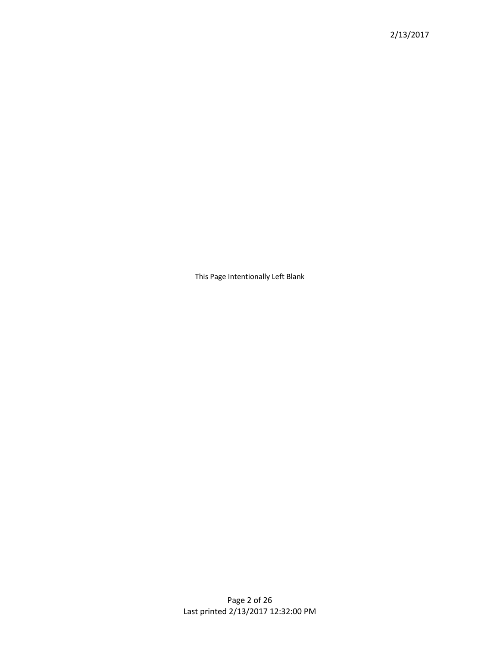This Page Intentionally Left Blank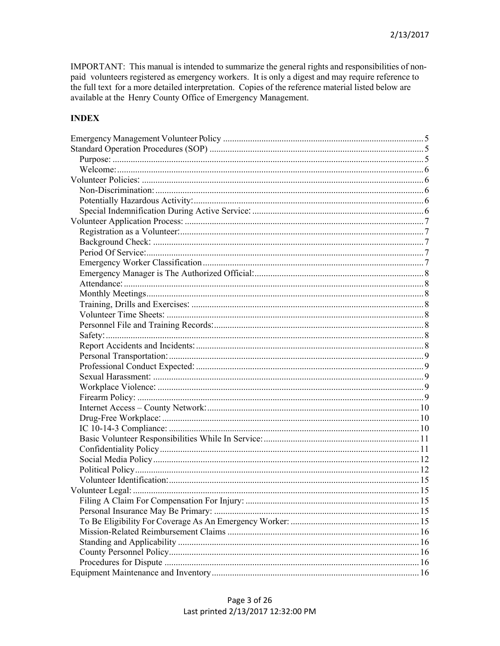IMPORTANT: This manual is intended to summarize the general rights and responsibilities of nonpaid volunteers registered as emergency workers. It is only a digest and may require reference to the full text for a more detailed interpretation. Copies of the reference material listed below are available at the Henry County Office of Emergency Management.

# **INDEX**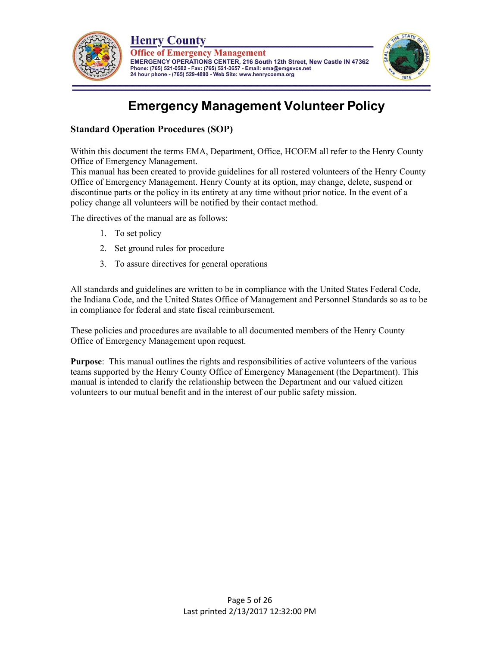

**Henry County Office of Emergency Management** ENERGENCY OPERATIONS CENTER, 216 South 12th Street, New Castle IN 47362<br>ENERGENCY OPERATIONS CENTER, 216 South 12th Street, New Castle IN 47362<br>Phone: (765) 521-0582 - Fax: (765) 521-3657 - Email: ema@emgsvcs.net<br>24 hour p



# **Emergency Management Volunteer Policy**

# **Standard Operation Procedures (SOP)**

Within this document the terms EMA, Department, Office, HCOEM all refer to the Henry County Office of Emergency Management.

This manual has been created to provide guidelines for all rostered volunteers of the Henry County Office of Emergency Management. Henry County at its option, may change, delete, suspend or discontinue parts or the policy in its entirety at any time without prior notice. In the event of a policy change all volunteers will be notified by their contact method.

The directives of the manual are as follows:

- 1. To set policy
- 2. Set ground rules for procedure
- 3. To assure directives for general operations

All standards and guidelines are written to be in compliance with the United States Federal Code, the Indiana Code, and the United States Office of Management and Personnel Standards so as to be in compliance for federal and state fiscal reimbursement.

These policies and procedures are available to all documented members of the Henry County Office of Emergency Management upon request.

**Purpose**: This manual outlines the rights and responsibilities of active volunteers of the various teams supported by the Henry County Office of Emergency Management (the Department). This manual is intended to clarify the relationship between the Department and our valued citizen volunteers to our mutual benefit and in the interest of our public safety mission.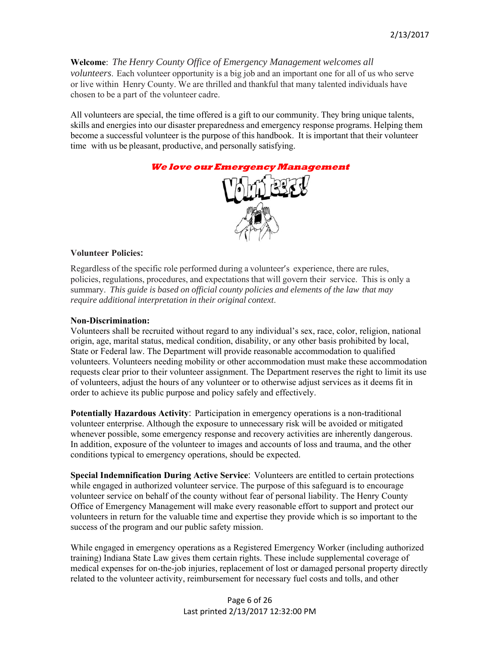# **Welcome**: *The Henry County Office of Emergency Management welcomes all volunteers*. Each volunteer opportunity is a big job and an important one for all of us who serve or live within Henry County. We are thrilled and thankful that many talented individuals have chosen to be a part of the volunteer cadre.

All volunteers are special, the time offered is a gift to our community. They bring unique talents, skills and energies into our disaster preparedness and emergency response programs. Helping them become a successful volunteer is the purpose of this handbook. It is important that their volunteer time with us be pleasant, productive, and personally satisfying.



# **Volunteer Policies:**

Regardless of the specific role performed during a volunteer's experience, there are rules, policies, regulations, procedures, and expectations that will govern their service. This is only a summary. *This guide is based on official county policies and elements of the law that may require additional interpretation in their original context*.

# **Non-Discrimination:**

Volunteers shall be recruited without regard to any individual's sex, race, color, religion, national origin, age, marital status, medical condition, disability, or any other basis prohibited by local, State or Federal law. The Department will provide reasonable accommodation to qualified volunteers. Volunteers needing mobility or other accommodation must make these accommodation requests clear prior to their volunteer assignment. The Department reserves the right to limit its use of volunteers, adjust the hours of any volunteer or to otherwise adjust services as it deems fit in order to achieve its public purpose and policy safely and effectively.

**Potentially Hazardous Activity**: Participation in emergency operations is a non-traditional volunteer enterprise. Although the exposure to unnecessary risk will be avoided or mitigated whenever possible, some emergency response and recovery activities are inherently dangerous. In addition, exposure of the volunteer to images and accounts of loss and trauma, and the other conditions typical to emergency operations, should be expected.

**Special Indemnification During Active Service**: Volunteers are entitled to certain protections while engaged in authorized volunteer service. The purpose of this safeguard is to encourage volunteer service on behalf of the county without fear of personal liability. The Henry County Office of Emergency Management will make every reasonable effort to support and protect our volunteers in return for the valuable time and expertise they provide which is so important to the success of the program and our public safety mission.

While engaged in emergency operations as a Registered Emergency Worker (including authorized training) Indiana State Law gives them certain rights. These include supplemental coverage of medical expenses for on-the-job injuries, replacement of lost or damaged personal property directly related to the volunteer activity, reimbursement for necessary fuel costs and tolls, and other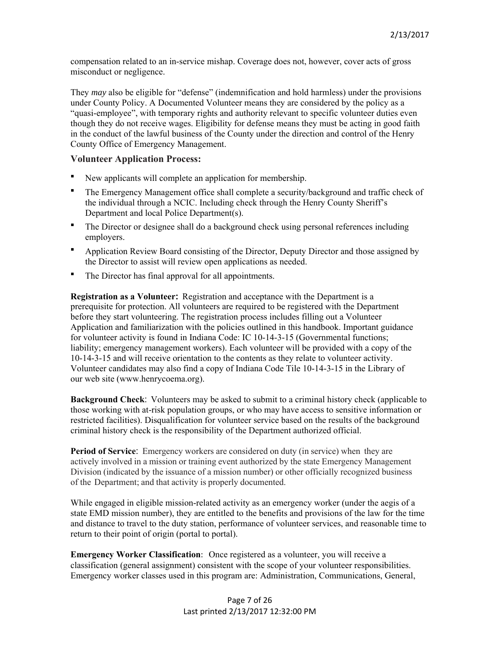compensation related to an in-service mishap. Coverage does not, however, cover acts of gross misconduct or negligence.

They *may* also be eligible for "defense" (indemnification and hold harmless) under the provisions under County Policy. A Documented Volunteer means they are considered by the policy as a "quasi-employee", with temporary rights and authority relevant to specific volunteer duties even though they do not receive wages. Eligibility for defense means they must be acting in good faith in the conduct of the lawful business of the County under the direction and control of the Henry County Office of Emergency Management.

# **Volunteer Application Process:**

- New applicants will complete an application for membership.
- The Emergency Management office shall complete a security/background and traffic check of the individual through a NCIC. Including check through the Henry County Sheriff's Department and local Police Department(s).
- The Director or designee shall do a background check using personal references including employers.
- Application Review Board consisting of the Director, Deputy Director and those assigned by the Director to assist will review open applications as needed.
- The Director has final approval for all appointments.

**Registration as a Volunteer:** Registration and acceptance with the Department is a prerequisite for protection. All volunteers are required to be registered with the Department before they start volunteering. The registration process includes filling out a Volunteer Application and familiarization with the policies outlined in this handbook. Important guidance for volunteer activity is found in Indiana Code: IC 10-14-3-15 (Governmental functions; liability; emergency management workers). Each volunteer will be provided with a copy of the 10-14-3-15 and will receive orientation to the contents as they relate to volunteer activity. Volunteer candidates may also find a copy of Indiana Code Tile 10-14-3-15 in the Library of our web site (www.henrycoema.org).

**Background Check**: Volunteers may be asked to submit to a criminal history check (applicable to those working with at-risk population groups, or who may have access to sensitive information or restricted facilities). Disqualification for volunteer service based on the results of the background criminal history check is the responsibility of the Department authorized official.

**Period of Service**: Emergency workers are considered on duty (in service) when they are actively involved in a mission or training event authorized by the state Emergency Management Division (indicated by the issuance of a mission number) or other officially recognized business of the Department; and that activity is properly documented.

While engaged in eligible mission-related activity as an emergency worker (under the aegis of a state EMD mission number), they are entitled to the benefits and provisions of the law for the time and distance to travel to the duty station, performance of volunteer services, and reasonable time to return to their point of origin (portal to portal).

**Emergency Worker Classification**: Once registered as a volunteer, you will receive a classification (general assignment) consistent with the scope of your volunteer responsibilities. Emergency worker classes used in this program are: Administration, Communications, General,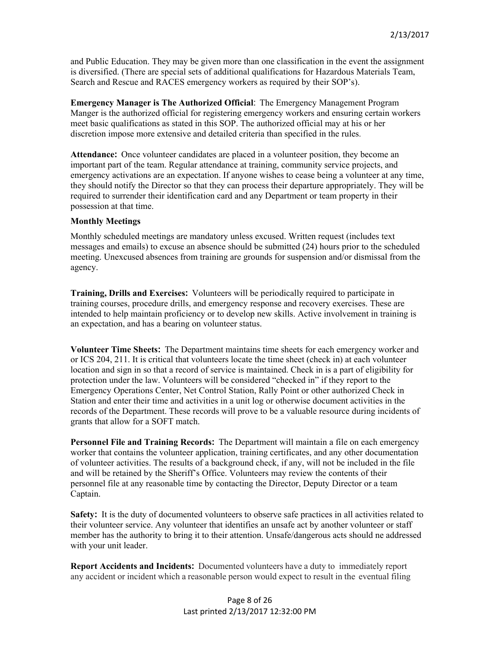and Public Education. They may be given more than one classification in the event the assignment is diversified. (There are special sets of additional qualifications for Hazardous Materials Team, Search and Rescue and RACES emergency workers as required by their SOP's).

**Emergency Manager is The Authorized Official**: The Emergency Management Program Manger is the authorized official for registering emergency workers and ensuring certain workers meet basic qualifications as stated in this SOP. The authorized official may at his or her discretion impose more extensive and detailed criteria than specified in the rules.

**Attendance:** Once volunteer candidates are placed in a volunteer position, they become an important part of the team. Regular attendance at training, community service projects, and emergency activations are an expectation. If anyone wishes to cease being a volunteer at any time, they should notify the Director so that they can process their departure appropriately. They will be required to surrender their identification card and any Department or team property in their possession at that time.

# **Monthly Meetings**

Monthly scheduled meetings are mandatory unless excused. Written request (includes text messages and emails) to excuse an absence should be submitted (24) hours prior to the scheduled meeting. Unexcused absences from training are grounds for suspension and/or dismissal from the agency.

**Training, Drills and Exercises:** Volunteers will be periodically required to participate in training courses, procedure drills, and emergency response and recovery exercises. These are intended to help maintain proficiency or to develop new skills. Active involvement in training is an expectation, and has a bearing on volunteer status.

**Volunteer Time Sheets:** The Department maintains time sheets for each emergency worker and or ICS 204, 211. It is critical that volunteers locate the time sheet (check in) at each volunteer location and sign in so that a record of service is maintained. Check in is a part of eligibility for protection under the law. Volunteers will be considered "checked in" if they report to the Emergency Operations Center, Net Control Station, Rally Point or other authorized Check in Station and enter their time and activities in a unit log or otherwise document activities in the records of the Department. These records will prove to be a valuable resource during incidents of grants that allow for a SOFT match.

**Personnel File and Training Records:** The Department will maintain a file on each emergency worker that contains the volunteer application, training certificates, and any other documentation of volunteer activities. The results of a background check, if any, will not be included in the file and will be retained by the Sheriff's Office. Volunteers may review the contents of their personnel file at any reasonable time by contacting the Director, Deputy Director or a team Captain.

**Safety:** It is the duty of documented volunteers to observe safe practices in all activities related to their volunteer service. Any volunteer that identifies an unsafe act by another volunteer or staff member has the authority to bring it to their attention. Unsafe/dangerous acts should ne addressed with your unit leader.

**Report Accidents and Incidents:** Documented volunteers have a duty to immediately report any accident or incident which a reasonable person would expect to result in the eventual filing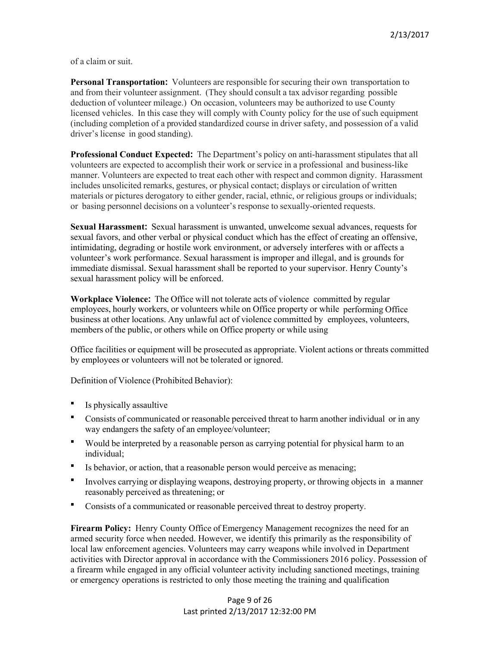of a claim or suit.

**Personal Transportation:** Volunteers are responsible for securing their own transportation to and from their volunteer assignment. (They should consult a tax advisor regarding possible deduction of volunteer mileage.) On occasion, volunteers may be authorized to use County licensed vehicles. In this case they will comply with County policy for the use of such equipment (including completion of a provided standardized course in driver safety, and possession of a valid driver's license in good standing).

**Professional Conduct Expected:** The Department's policy on anti-harassment stipulates that all volunteers are expected to accomplish their work or service in a professional and business-like manner. Volunteers are expected to treat each other with respect and common dignity. Harassment includes unsolicited remarks, gestures, or physical contact; displays or circulation of written materials or pictures derogatory to either gender, racial, ethnic, or religious groups or individuals; or basing personnel decisions on a volunteer's response to sexually-oriented requests.

**Sexual Harassment:** Sexual harassment is unwanted, unwelcome sexual advances, requests for sexual favors, and other verbal or physical conduct which has the effect of creating an offensive, intimidating, degrading or hostile work environment, or adversely interferes with or affects a volunteer's work performance. Sexual harassment is improper and illegal, and is grounds for immediate dismissal. Sexual harassment shall be reported to your supervisor. Henry County's sexual harassment policy will be enforced.

**Workplace Violence:** The Office will not tolerate acts of violence committed by regular employees, hourly workers, or volunteers while on Office property or while performing Office business at other locations. Any unlawful act of violence committed by employees, volunteers, members of the public, or others while on Office property or while using

Office facilities or equipment will be prosecuted as appropriate. Violent actions or threats committed by employees or volunteers will not be tolerated or ignored.

Definition of Violence (Prohibited Behavior):

- Is physically assaultive
- Consists of communicated or reasonable perceived threat to harm another individual or in any way endangers the safety of an employee/volunteer;
- Would be interpreted by a reasonable person as carrying potential for physical harm to an individual;
- Is behavior, or action, that a reasonable person would perceive as menacing;
- Involves carrying or displaying weapons, destroying property, or throwing objects in a manner reasonably perceived as threatening; or
- Consists of a communicated or reasonable perceived threat to destroy property.

**Firearm Policy:** Henry County Office of Emergency Management recognizes the need for an armed security force when needed. However, we identify this primarily as the responsibility of local law enforcement agencies. Volunteers may carry weapons while involved in Department activities with Director approval in accordance with the Commissioners 2016 policy. Possession of a firearm while engaged in any official volunteer activity including sanctioned meetings, training or emergency operations is restricted to only those meeting the training and qualification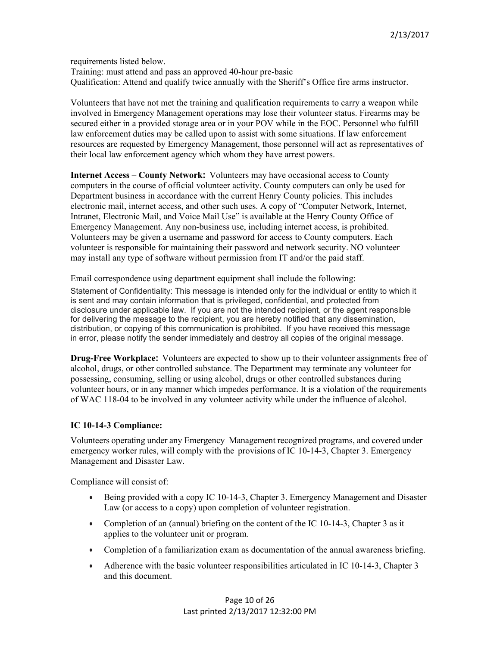requirements listed below. Training: must attend and pass an approved 40-hour pre-basic Qualification: Attend and qualify twice annually with the Sheriff's Office fire arms instructor.

Volunteers that have not met the training and qualification requirements to carry a weapon while involved in Emergency Management operations may lose their volunteer status. Firearms may be secured either in a provided storage area or in your POV while in the EOC. Personnel who fulfill law enforcement duties may be called upon to assist with some situations. If law enforcement resources are requested by Emergency Management, those personnel will act as representatives of their local law enforcement agency which whom they have arrest powers.

**Internet Access – County Network:** Volunteers may have occasional access to County computers in the course of official volunteer activity. County computers can only be used for Department business in accordance with the current Henry County policies. This includes electronic mail, internet access, and other such uses. A copy of "Computer Network, Internet, Intranet, Electronic Mail, and Voice Mail Use" is available at the Henry County Office of Emergency Management. Any non-business use, including internet access, is prohibited. Volunteers may be given a username and password for access to County computers. Each volunteer is responsible for maintaining their password and network security. NO volunteer may install any type of software without permission from IT and/or the paid staff.

Email correspondence using department equipment shall include the following:

Statement of Confidentiality: This message is intended only for the individual or entity to which it is sent and may contain information that is privileged, confidential, and protected from disclosure under applicable law. If you are not the intended recipient, or the agent responsible for delivering the message to the recipient, you are hereby notified that any dissemination, distribution, or copying of this communication is prohibited. If you have received this message in error, please notify the sender immediately and destroy all copies of the original message.

**Drug-Free Workplace:** Volunteers are expected to show up to their volunteer assignments free of alcohol, drugs, or other controlled substance. The Department may terminate any volunteer for possessing, consuming, selling or using alcohol, drugs or other controlled substances during volunteer hours, or in any manner which impedes performance. It is a violation of the requirements of WAC 118-04 to be involved in any volunteer activity while under the influence of alcohol.

# **IC 10-14-3 Compliance:**

Volunteers operating under any Emergency Management recognized programs, and covered under emergency worker rules, will comply with the provisions of IC 10-14-3, Chapter 3. Emergency Management and Disaster Law.

Compliance will consist of:

- Being provided with a copy IC 10-14-3, Chapter 3. Emergency Management and Disaster Law (or access to a copy) upon completion of volunteer registration.
- Completion of an (annual) briefing on the content of the IC 10-14-3, Chapter 3 as it applies to the volunteer unit or program.
- Completion of a familiarization exam as documentation of the annual awareness briefing.
- Adherence with the basic volunteer responsibilities articulated in IC 10-14-3, Chapter 3 and this document.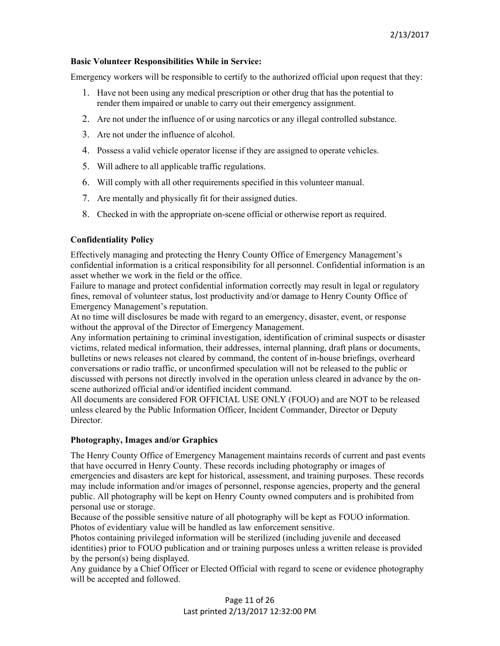# **Basic Volunteer Responsibilities While in Service:**

Emergency workers will be responsible to certify to the authorized official upon request that they:

- 1. Have not been using any medical prescription or other drug that has the potential to render them impaired or unable to carry out their emergency assignment.
- 2. Are not under the influence of or using narcotics or any illegal controlled substance.
- 3. Are not under the influence of alcohol.
- 4. Possess a valid vehicle operator license if they are assigned to operate vehicles.
- 5. Will adhere to all applicable traffic regulations.
- 6. Will comply with all other requirements specified in this volunteer manual.
- 7. Are mentally and physically fit for their assigned duties.
- 8. Checked in with the appropriate on-scene official or otherwise report as required.

# **Confidentiality Policy**

Effectively managing and protecting the Henry County Office of Emergency Management's confidential information is a critical responsibility for all personnel. Confidential information is an asset whether we work in the field or the office.

Failure to manage and protect confidential information correctly may result in legal or regulatory fines, removal of volunteer status, lost productivity and/or damage to Henry County Office of Emergency Management's reputation.

At no time will disclosures be made with regard to an emergency, disaster, event, or response without the approval of the Director of Emergency Management.

Any information pertaining to criminal investigation, identification of criminal suspects or disaster victims, related medical information, their addresses, internal planning, draft plans or documents, bulletins or news releases not cleared by command, the content of in-house briefings, overheard conversations or radio traffic, or unconfirmed speculation will not be released to the public or discussed with persons not directly involved in the operation unless cleared in advance by the onscene authorized official and/or identified incident command.

All documents are considered FOR OFFICIAL USE ONLY (FOUO) and are NOT to be released unless cleared by the Public Information Officer, Incident Commander, Director or Deputy Director.

# **Photography, Images and/or Graphics**

The Henry County Office of Emergency Management maintains records of current and past events that have occurred in Henry County. These records including photography or images of emergencies and disasters are kept for historical, assessment, and training purposes. These records may include information and/or images of personnel, response agencies, property and the general public. All photography will be kept on Henry County owned computers and is prohibited from personal use or storage.

Because of the possible sensitive nature of all photography will be kept as FOUO information. Photos of evidentiary value will be handled as law enforcement sensitive.

Photos containing privileged information will be sterilized (including juvenile and deceased identities) prior to FOUO publication and or training purposes unless a written release is provided by the person(s) being displayed.

Any guidance by a Chief Officer or Elected Official with regard to scene or evidence photography will be accepted and followed.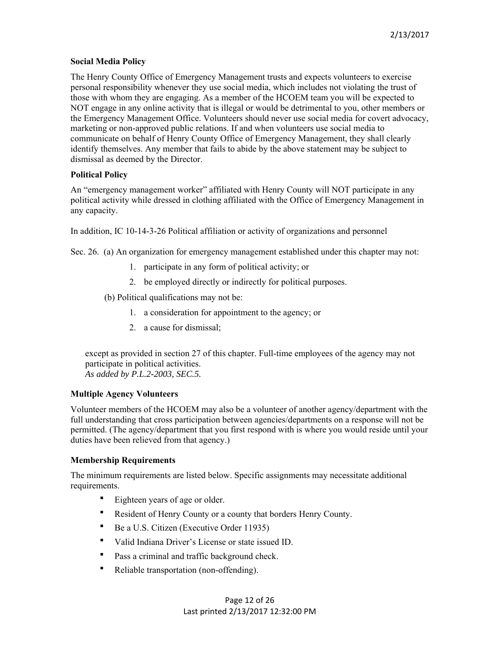# **Social Media Policy**

The Henry County Office of Emergency Management trusts and expects volunteers to exercise personal responsibility whenever they use social media, which includes not violating the trust of those with whom they are engaging. As a member of the HCOEM team you will be expected to NOT engage in any online activity that is illegal or would be detrimental to you, other members or the Emergency Management Office. Volunteers should never use social media for covert advocacy, marketing or non-approved public relations. If and when volunteers use social media to communicate on behalf of Henry County Office of Emergency Management, they shall clearly identify themselves. Any member that fails to abide by the above statement may be subject to dismissal as deemed by the Director.

# **Political Policy**

An "emergency management worker" affiliated with Henry County will NOT participate in any political activity while dressed in clothing affiliated with the Office of Emergency Management in any capacity.

In addition, IC 10-14-3-26 Political affiliation or activity of organizations and personnel

Sec. 26. (a) An organization for emergency management established under this chapter may not:

- 1. participate in any form of political activity; or
- 2. be employed directly or indirectly for political purposes.
- (b) Political qualifications may not be:
	- 1. a consideration for appointment to the agency; or
	- 2. a cause for dismissal;

except as provided in section 27 of this chapter. Full-time employees of the agency may not participate in political activities. *As added by P.L.2-2003, SEC.5.*

# **Multiple Agency Volunteers**

Volunteer members of the HCOEM may also be a volunteer of another agency/department with the full understanding that cross participation between agencies/departments on a response will not be permitted. (The agency/department that you first respond with is where you would reside until your duties have been relieved from that agency.)

# **Membership Requirements**

The minimum requirements are listed below. Specific assignments may necessitate additional requirements.

- Eighteen years of age or older.
- Resident of Henry County or a county that borders Henry County.
- Be a U.S. Citizen (Executive Order 11935)
- Valid Indiana Driver's License or state issued ID.
- **Pass a criminal and traffic background check.**
- Reliable transportation (non-offending).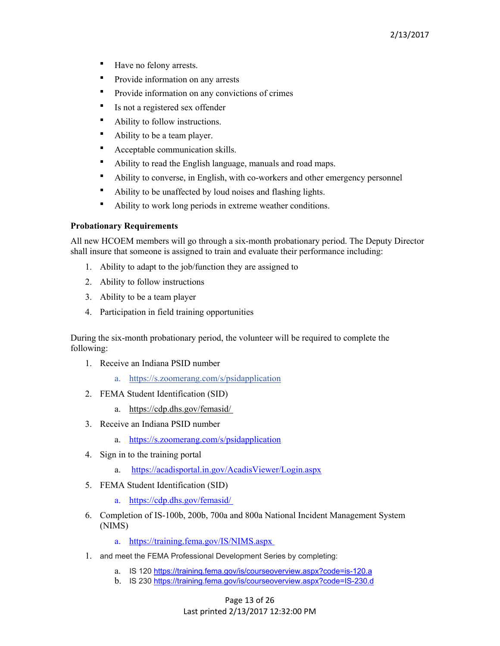- Have no felony arrests.
- Provide information on any arrests
- **Provide information on any convictions of crimes**
- Is not a registered sex offender
- Ability to follow instructions.
- Ability to be a team player.
- Acceptable communication skills.
- Ability to read the English language, manuals and road maps.
- Ability to converse, in English, with co-workers and other emergency personnel
- Ability to be unaffected by loud noises and flashing lights.
- Ability to work long periods in extreme weather conditions.

# **Probationary Requirements**

All new HCOEM members will go through a six-month probationary period. The Deputy Director shall insure that someone is assigned to train and evaluate their performance including:

- 1. Ability to adapt to the job/function they are assigned to
- 2. Ability to follow instructions
- 3. Ability to be a team player
- 4. Participation in field training opportunities

During the six-month probationary period, the volunteer will be required to complete the following:

- 1. Receive an Indiana PSID number
	- a. https://s.zoomerang.com/s/psidapplication
- 2. FEMA Student Identification (SID)
	- a. https://cdp.dhs.gov/femasid/
- 3. Receive an Indiana PSID number
	- a. https://s.zoomerang.com/s/psidapplication
- 4. Sign in to the training portal
	- a. https://acadisportal.in.gov/AcadisViewer/Login.aspx
- 5. FEMA Student Identification (SID)
	- a. https://cdp.dhs.gov/femasid/
- 6. Completion of IS-100b, 200b, 700a and 800a National Incident Management System (NIMS)
	- a. https://training.fema.gov/IS/NIMS.aspx
- 1. and meet the FEMA Professional Development Series by completing:
	- a. IS 120 https://training.fema.gov/is/courseoverview.aspx?code=is-120.a
	- b. IS 230 https://training.fema.gov/is/courseoverview.aspx?code=IS-230.d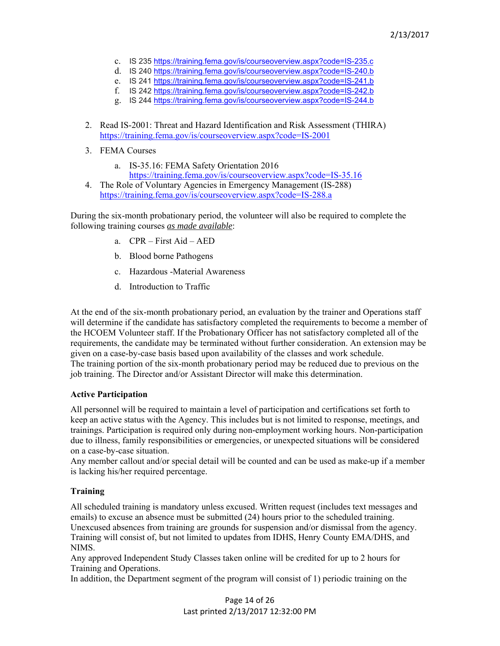- c. IS 235 https://training.fema.gov/is/courseoverview.aspx?code=IS-235.c
- d. IS 240 https://training.fema.gov/is/courseoverview.aspx?code=IS-240.b
- e. IS 241 https://training.fema.gov/is/courseoverview.aspx?code=IS-241.b
- f. IS 242 https://training.fema.gov/is/courseoverview.aspx?code=IS-242.b
- g. IS 244 https://training.fema.gov/is/courseoverview.aspx?code=IS-244.b
- 2. Read IS-2001: Threat and Hazard Identification and Risk Assessment (THIRA) https://training.fema.gov/is/courseoverview.aspx?code=IS-2001
- 3. FEMA Courses
	- a. IS-35.16: FEMA Safety Orientation 2016
		- https://training.fema.gov/is/courseoverview.aspx?code=IS-35.16
- 4. The Role of Voluntary Agencies in Emergency Management (IS-288) https://training.fema.gov/is/courseoverview.aspx?code=IS-288.a

During the six-month probationary period, the volunteer will also be required to complete the following training courses *as made available*:

- a. CPR First Aid AED
- b. Blood borne Pathogens
- c. Hazardous -Material Awareness
- d. Introduction to Traffic

At the end of the six-month probationary period, an evaluation by the trainer and Operations staff will determine if the candidate has satisfactory completed the requirements to become a member of the HCOEM Volunteer staff. If the Probationary Officer has not satisfactory completed all of the requirements, the candidate may be terminated without further consideration. An extension may be given on a case-by-case basis based upon availability of the classes and work schedule. The training portion of the six-month probationary period may be reduced due to previous on the job training. The Director and/or Assistant Director will make this determination.

#### **Active Participation**

All personnel will be required to maintain a level of participation and certifications set forth to keep an active status with the Agency. This includes but is not limited to response, meetings, and trainings. Participation is required only during non-employment working hours. Non-participation due to illness, family responsibilities or emergencies, or unexpected situations will be considered on a case-by-case situation.

Any member callout and/or special detail will be counted and can be used as make-up if a member is lacking his/her required percentage.

# **Training**

All scheduled training is mandatory unless excused. Written request (includes text messages and emails) to excuse an absence must be submitted (24) hours prior to the scheduled training. Unexcused absences from training are grounds for suspension and/or dismissal from the agency. Training will consist of, but not limited to updates from IDHS, Henry County EMA/DHS, and NIMS.

Any approved Independent Study Classes taken online will be credited for up to 2 hours for Training and Operations.

In addition, the Department segment of the program will consist of 1) periodic training on the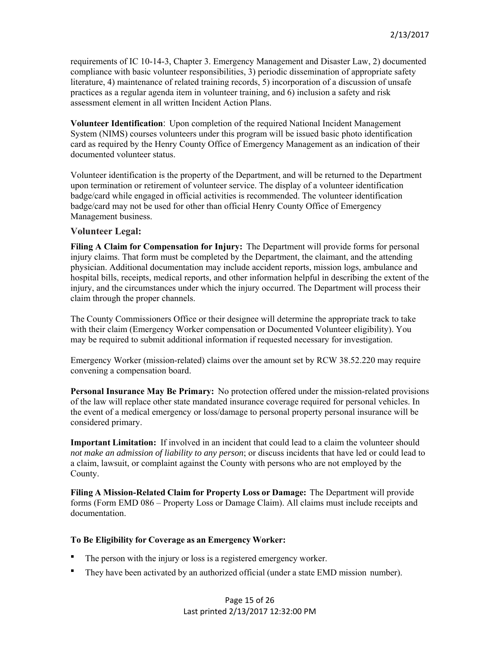requirements of IC 10-14-3, Chapter 3. Emergency Management and Disaster Law, 2) documented compliance with basic volunteer responsibilities, 3) periodic dissemination of appropriate safety literature, 4) maintenance of related training records, 5) incorporation of a discussion of unsafe practices as a regular agenda item in volunteer training, and 6) inclusion a safety and risk assessment element in all written Incident Action Plans.

**Volunteer Identification**: Upon completion of the required National Incident Management System (NIMS) courses volunteers under this program will be issued basic photo identification card as required by the Henry County Office of Emergency Management as an indication of their documented volunteer status.

Volunteer identification is the property of the Department, and will be returned to the Department upon termination or retirement of volunteer service. The display of a volunteer identification badge/card while engaged in official activities is recommended. The volunteer identification badge/card may not be used for other than official Henry County Office of Emergency Management business.

# **Volunteer Legal:**

**Filing A Claim for Compensation for Injury:** The Department will provide forms for personal injury claims. That form must be completed by the Department, the claimant, and the attending physician. Additional documentation may include accident reports, mission logs, ambulance and hospital bills, receipts, medical reports, and other information helpful in describing the extent of the injury, and the circumstances under which the injury occurred. The Department will process their claim through the proper channels.

The County Commissioners Office or their designee will determine the appropriate track to take with their claim (Emergency Worker compensation or Documented Volunteer eligibility). You may be required to submit additional information if requested necessary for investigation.

Emergency Worker (mission-related) claims over the amount set by RCW 38.52.220 may require convening a compensation board.

**Personal Insurance May Be Primary:** No protection offered under the mission-related provisions of the law will replace other state mandated insurance coverage required for personal vehicles. In the event of a medical emergency or loss/damage to personal property personal insurance will be considered primary.

**Important Limitation:** If involved in an incident that could lead to a claim the volunteer should *not make an admission of liability to any person*; or discuss incidents that have led or could lead to a claim, lawsuit, or complaint against the County with persons who are not employed by the County.

**Filing A Mission-Related Claim for Property Loss or Damage:** The Department will provide forms (Form EMD 086 – Property Loss or Damage Claim). All claims must include receipts and documentation.

# **To Be Eligibility for Coverage as an Emergency Worker:**

- The person with the injury or loss is a registered emergency worker.
- They have been activated by an authorized official (under a state EMD mission number).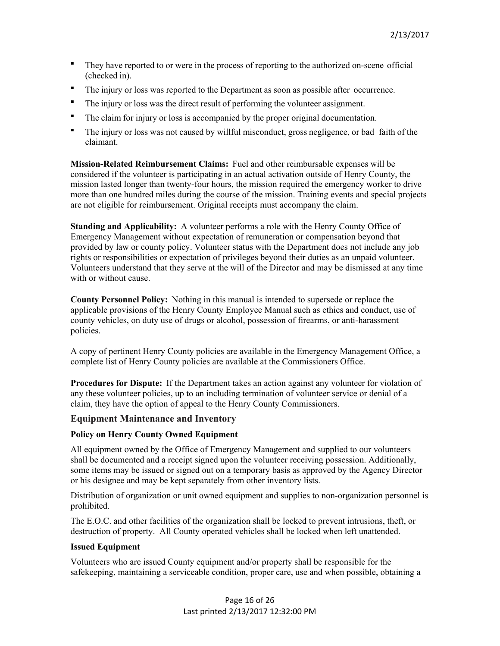- They have reported to or were in the process of reporting to the authorized on-scene official (checked in).
- The injury or loss was reported to the Department as soon as possible after occurrence.
- The injury or loss was the direct result of performing the volunteer assignment.
- The claim for injury or loss is accompanied by the proper original documentation.
- The injury or loss was not caused by willful misconduct, gross negligence, or bad faith of the claimant.

**Mission-Related Reimbursement Claims:** Fuel and other reimbursable expenses will be considered if the volunteer is participating in an actual activation outside of Henry County, the mission lasted longer than twenty-four hours, the mission required the emergency worker to drive more than one hundred miles during the course of the mission. Training events and special projects are not eligible for reimbursement. Original receipts must accompany the claim.

**Standing and Applicability:** A volunteer performs a role with the Henry County Office of Emergency Management without expectation of remuneration or compensation beyond that provided by law or county policy. Volunteer status with the Department does not include any job rights or responsibilities or expectation of privileges beyond their duties as an unpaid volunteer. Volunteers understand that they serve at the will of the Director and may be dismissed at any time with or without cause.

**County Personnel Policy:** Nothing in this manual is intended to supersede or replace the applicable provisions of the Henry County Employee Manual such as ethics and conduct, use of county vehicles, on duty use of drugs or alcohol, possession of firearms, or anti-harassment policies.

A copy of pertinent Henry County policies are available in the Emergency Management Office, a complete list of Henry County policies are available at the Commissioners Office.

**Procedures for Dispute:** If the Department takes an action against any volunteer for violation of any these volunteer policies, up to an including termination of volunteer service or denial of a claim, they have the option of appeal to the Henry County Commissioners.

# **Equipment Maintenance and Inventory**

# **Policy on Henry County Owned Equipment**

All equipment owned by the Office of Emergency Management and supplied to our volunteers shall be documented and a receipt signed upon the volunteer receiving possession. Additionally, some items may be issued or signed out on a temporary basis as approved by the Agency Director or his designee and may be kept separately from other inventory lists.

Distribution of organization or unit owned equipment and supplies to non-organization personnel is prohibited.

The E.O.C. and other facilities of the organization shall be locked to prevent intrusions, theft, or destruction of property. All County operated vehicles shall be locked when left unattended.

# **Issued Equipment**

Volunteers who are issued County equipment and/or property shall be responsible for the safekeeping, maintaining a serviceable condition, proper care, use and when possible, obtaining a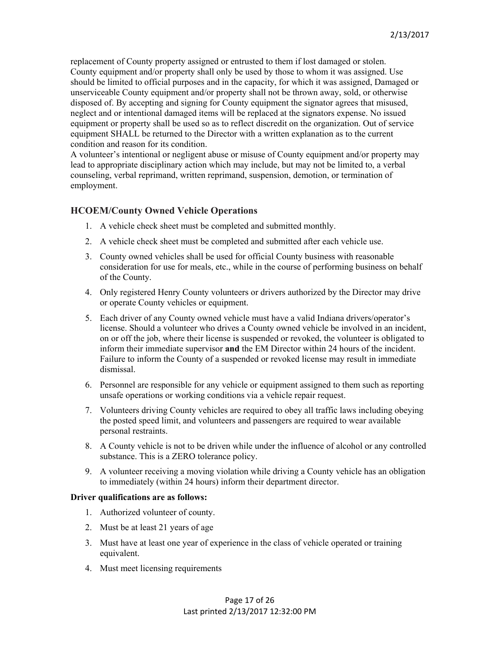replacement of County property assigned or entrusted to them if lost damaged or stolen. County equipment and/or property shall only be used by those to whom it was assigned. Use should be limited to official purposes and in the capacity, for which it was assigned, Damaged or unserviceable County equipment and/or property shall not be thrown away, sold, or otherwise disposed of. By accepting and signing for County equipment the signator agrees that misused, neglect and or intentional damaged items will be replaced at the signators expense. No issued equipment or property shall be used so as to reflect discredit on the organization. Out of service equipment SHALL be returned to the Director with a written explanation as to the current condition and reason for its condition.

A volunteer's intentional or negligent abuse or misuse of County equipment and/or property may lead to appropriate disciplinary action which may include, but may not be limited to, a verbal counseling, verbal reprimand, written reprimand, suspension, demotion, or termination of employment.

# **HCOEM/County Owned Vehicle Operations**

- 1. A vehicle check sheet must be completed and submitted monthly.
- 2. A vehicle check sheet must be completed and submitted after each vehicle use.
- 3. County owned vehicles shall be used for official County business with reasonable consideration for use for meals, etc., while in the course of performing business on behalf of the County.
- 4. Only registered Henry County volunteers or drivers authorized by the Director may drive or operate County vehicles or equipment.
- 5. Each driver of any County owned vehicle must have a valid Indiana drivers/operator's license. Should a volunteer who drives a County owned vehicle be involved in an incident, on or off the job, where their license is suspended or revoked, the volunteer is obligated to inform their immediate supervisor **and** the EM Director within 24 hours of the incident. Failure to inform the County of a suspended or revoked license may result in immediate dismissal.
- 6. Personnel are responsible for any vehicle or equipment assigned to them such as reporting unsafe operations or working conditions via a vehicle repair request.
- 7. Volunteers driving County vehicles are required to obey all traffic laws including obeying the posted speed limit, and volunteers and passengers are required to wear available personal restraints.
- 8. A County vehicle is not to be driven while under the influence of alcohol or any controlled substance. This is a ZERO tolerance policy.
- 9. A volunteer receiving a moving violation while driving a County vehicle has an obligation to immediately (within 24 hours) inform their department director.

#### **Driver qualifications are as follows:**

- 1. Authorized volunteer of county.
- 2. Must be at least 21 years of age
- 3. Must have at least one year of experience in the class of vehicle operated or training equivalent.
- 4. Must meet licensing requirements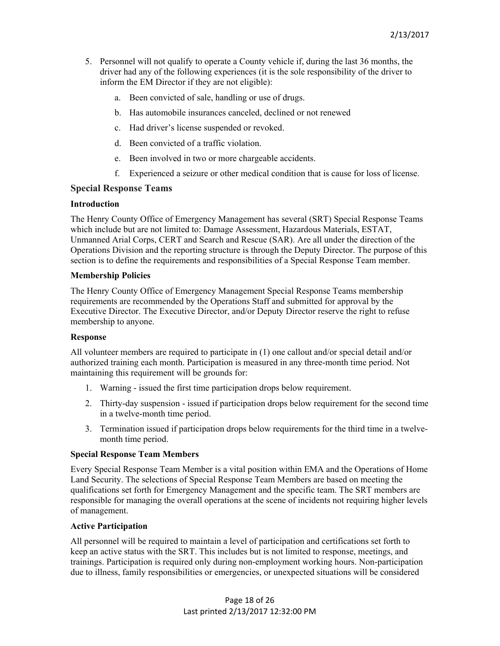- 5. Personnel will not qualify to operate a County vehicle if, during the last 36 months, the driver had any of the following experiences (it is the sole responsibility of the driver to inform the EM Director if they are not eligible):
	- a. Been convicted of sale, handling or use of drugs.
	- b. Has automobile insurances canceled, declined or not renewed
	- c. Had driver's license suspended or revoked.
	- d. Been convicted of a traffic violation.
	- e. Been involved in two or more chargeable accidents.
	- f. Experienced a seizure or other medical condition that is cause for loss of license.

#### **Special Response Teams**

#### **Introduction**

The Henry County Office of Emergency Management has several (SRT) Special Response Teams which include but are not limited to: Damage Assessment, Hazardous Materials, ESTAT, Unmanned Arial Corps, CERT and Search and Rescue (SAR). Are all under the direction of the Operations Division and the reporting structure is through the Deputy Director. The purpose of this section is to define the requirements and responsibilities of a Special Response Team member.

#### **Membership Policies**

The Henry County Office of Emergency Management Special Response Teams membership requirements are recommended by the Operations Staff and submitted for approval by the Executive Director. The Executive Director, and/or Deputy Director reserve the right to refuse membership to anyone.

#### **Response**

All volunteer members are required to participate in (1) one callout and/or special detail and/or authorized training each month. Participation is measured in any three-month time period. Not maintaining this requirement will be grounds for:

- 1. Warning issued the first time participation drops below requirement.
- 2. Thirty-day suspension issued if participation drops below requirement for the second time in a twelve-month time period.
- 3. Termination issued if participation drops below requirements for the third time in a twelvemonth time period.

#### **Special Response Team Members**

Every Special Response Team Member is a vital position within EMA and the Operations of Home Land Security. The selections of Special Response Team Members are based on meeting the qualifications set forth for Emergency Management and the specific team. The SRT members are responsible for managing the overall operations at the scene of incidents not requiring higher levels of management.

#### **Active Participation**

All personnel will be required to maintain a level of participation and certifications set forth to keep an active status with the SRT. This includes but is not limited to response, meetings, and trainings. Participation is required only during non-employment working hours. Non-participation due to illness, family responsibilities or emergencies, or unexpected situations will be considered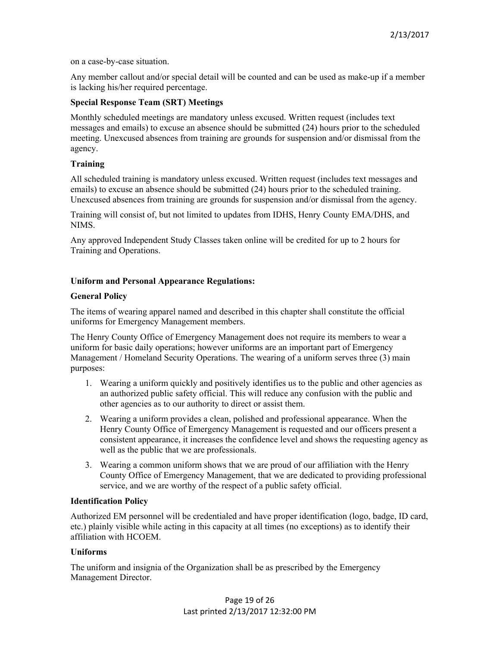on a case-by-case situation.

Any member callout and/or special detail will be counted and can be used as make-up if a member is lacking his/her required percentage.

# **Special Response Team (SRT) Meetings**

Monthly scheduled meetings are mandatory unless excused. Written request (includes text messages and emails) to excuse an absence should be submitted (24) hours prior to the scheduled meeting. Unexcused absences from training are grounds for suspension and/or dismissal from the agency.

# **Training**

All scheduled training is mandatory unless excused. Written request (includes text messages and emails) to excuse an absence should be submitted (24) hours prior to the scheduled training. Unexcused absences from training are grounds for suspension and/or dismissal from the agency.

Training will consist of, but not limited to updates from IDHS, Henry County EMA/DHS, and NIMS.

Any approved Independent Study Classes taken online will be credited for up to 2 hours for Training and Operations.

# **Uniform and Personal Appearance Regulations:**

# **General Policy**

The items of wearing apparel named and described in this chapter shall constitute the official uniforms for Emergency Management members.

The Henry County Office of Emergency Management does not require its members to wear a uniform for basic daily operations; however uniforms are an important part of Emergency Management / Homeland Security Operations. The wearing of a uniform serves three (3) main purposes:

- 1. Wearing a uniform quickly and positively identifies us to the public and other agencies as an authorized public safety official. This will reduce any confusion with the public and other agencies as to our authority to direct or assist them.
- 2. Wearing a uniform provides a clean, polished and professional appearance. When the Henry County Office of Emergency Management is requested and our officers present a consistent appearance, it increases the confidence level and shows the requesting agency as well as the public that we are professionals.
- 3. Wearing a common uniform shows that we are proud of our affiliation with the Henry County Office of Emergency Management, that we are dedicated to providing professional service, and we are worthy of the respect of a public safety official.

# **Identification Policy**

Authorized EM personnel will be credentialed and have proper identification (logo, badge, ID card, etc.) plainly visible while acting in this capacity at all times (no exceptions) as to identify their affiliation with HCOEM.

# **Uniforms**

The uniform and insignia of the Organization shall be as prescribed by the Emergency Management Director.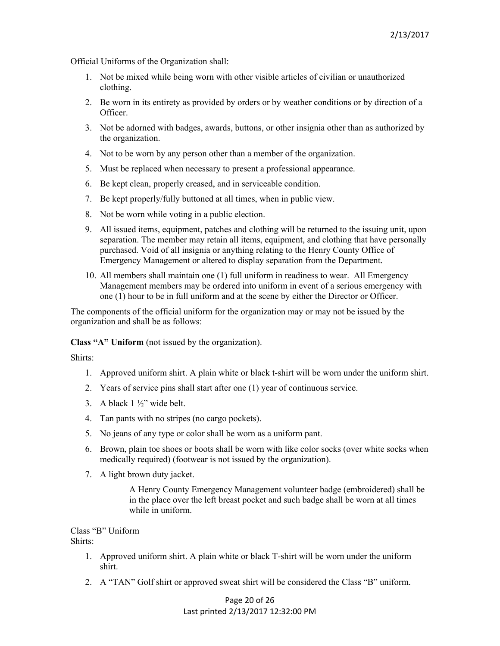Official Uniforms of the Organization shall:

- 1. Not be mixed while being worn with other visible articles of civilian or unauthorized clothing.
- 2. Be worn in its entirety as provided by orders or by weather conditions or by direction of a Officer.
- 3. Not be adorned with badges, awards, buttons, or other insignia other than as authorized by the organization.
- 4. Not to be worn by any person other than a member of the organization.
- 5. Must be replaced when necessary to present a professional appearance.
- 6. Be kept clean, properly creased, and in serviceable condition.
- 7. Be kept properly/fully buttoned at all times, when in public view.
- 8. Not be worn while voting in a public election.
- 9. All issued items, equipment, patches and clothing will be returned to the issuing unit, upon separation. The member may retain all items, equipment, and clothing that have personally purchased. Void of all insignia or anything relating to the Henry County Office of Emergency Management or altered to display separation from the Department.
- 10. All members shall maintain one (1) full uniform in readiness to wear. All Emergency Management members may be ordered into uniform in event of a serious emergency with one (1) hour to be in full uniform and at the scene by either the Director or Officer.

The components of the official uniform for the organization may or may not be issued by the organization and shall be as follows:

**Class "A" Uniform** (not issued by the organization).

Shirts:

- 1. Approved uniform shirt. A plain white or black t-shirt will be worn under the uniform shirt.
- 2. Years of service pins shall start after one (1) year of continuous service.
- 3. A black 1 ½" wide belt.
- 4. Tan pants with no stripes (no cargo pockets).
- 5. No jeans of any type or color shall be worn as a uniform pant.
- 6. Brown, plain toe shoes or boots shall be worn with like color socks (over white socks when medically required) (footwear is not issued by the organization).
- 7. A light brown duty jacket.

A Henry County Emergency Management volunteer badge (embroidered) shall be in the place over the left breast pocket and such badge shall be worn at all times while in uniform.

# Class "B" Uniform

Shirts:

- 1. Approved uniform shirt. A plain white or black T-shirt will be worn under the uniform shirt.
- 2. A "TAN" Golf shirt or approved sweat shirt will be considered the Class "B" uniform.

Page 20 of 26 Last printed 2/13/2017 12:32:00 PM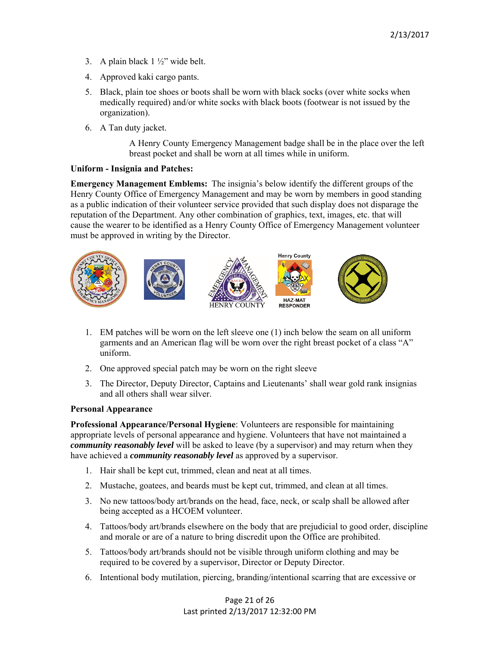- 3. A plain black  $1\frac{1}{2}$ " wide belt.
- 4. Approved kaki cargo pants.
- 5. Black, plain toe shoes or boots shall be worn with black socks (over white socks when medically required) and/or white socks with black boots (footwear is not issued by the organization).
- 6. A Tan duty jacket.

A Henry County Emergency Management badge shall be in the place over the left breast pocket and shall be worn at all times while in uniform.

# **Uniform - Insignia and Patches:**

**Emergency Management Emblems:** The insignia's below identify the different groups of the Henry County Office of Emergency Management and may be worn by members in good standing as a public indication of their volunteer service provided that such display does not disparage the reputation of the Department. Any other combination of graphics, text, images, etc. that will cause the wearer to be identified as a Henry County Office of Emergency Management volunteer must be approved in writing by the Director.



- 1. EM patches will be worn on the left sleeve one (1) inch below the seam on all uniform garments and an American flag will be worn over the right breast pocket of a class "A" uniform.
- 2. One approved special patch may be worn on the right sleeve
- 3. The Director, Deputy Director, Captains and Lieutenants' shall wear gold rank insignias and all others shall wear silver.

# **Personal Appearance**

**Professional Appearance/Personal Hygiene**: Volunteers are responsible for maintaining appropriate levels of personal appearance and hygiene. Volunteers that have not maintained a *community reasonably level* will be asked to leave (by a supervisor) and may return when they have achieved a *community reasonably level* as approved by a supervisor.

- 1. Hair shall be kept cut, trimmed, clean and neat at all times.
- 2. Mustache, goatees, and beards must be kept cut, trimmed, and clean at all times.
- 3. No new tattoos/body art/brands on the head, face, neck, or scalp shall be allowed after being accepted as a HCOEM volunteer.
- 4. Tattoos/body art/brands elsewhere on the body that are prejudicial to good order, discipline and morale or are of a nature to bring discredit upon the Office are prohibited.
- 5. Tattoos/body art/brands should not be visible through uniform clothing and may be required to be covered by a supervisor, Director or Deputy Director.
- 6. Intentional body mutilation, piercing, branding/intentional scarring that are excessive or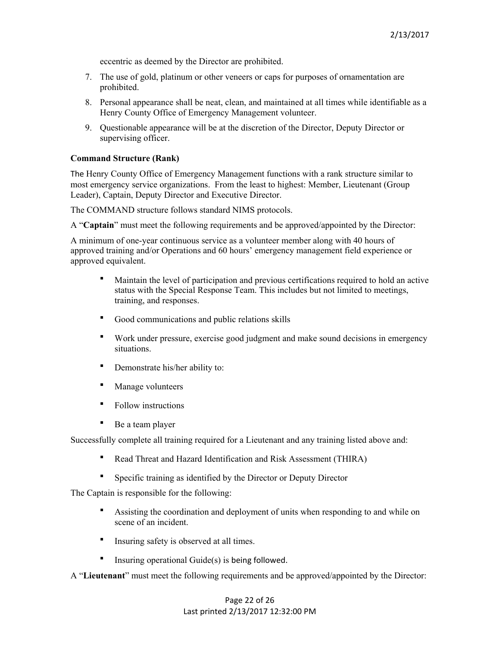eccentric as deemed by the Director are prohibited.

- 7. The use of gold, platinum or other veneers or caps for purposes of ornamentation are prohibited.
- 8. Personal appearance shall be neat, clean, and maintained at all times while identifiable as a Henry County Office of Emergency Management volunteer.
- 9. Questionable appearance will be at the discretion of the Director, Deputy Director or supervising officer.

#### **Command Structure (Rank)**

The Henry County Office of Emergency Management functions with a rank structure similar to most emergency service organizations. From the least to highest: Member, Lieutenant (Group Leader), Captain, Deputy Director and Executive Director.

The COMMAND structure follows standard NIMS protocols.

A "**Captain**" must meet the following requirements and be approved/appointed by the Director:

A minimum of one-year continuous service as a volunteer member along with 40 hours of approved training and/or Operations and 60 hours' emergency management field experience or approved equivalent.

- Maintain the level of participation and previous certifications required to hold an active status with the Special Response Team. This includes but not limited to meetings, training, and responses.
- Good communications and public relations skills
- Work under pressure, exercise good judgment and make sound decisions in emergency situations.
- **•** Demonstrate his/her ability to:
- **Manage volunteers**
- Follow instructions
- Be a team player

Successfully complete all training required for a Lieutenant and any training listed above and:

- Read Threat and Hazard Identification and Risk Assessment (THIRA)
- Specific training as identified by the Director or Deputy Director

The Captain is responsible for the following:

- Assisting the coordination and deployment of units when responding to and while on scene of an incident.
- Insuring safety is observed at all times.
- Insuring operational Guide(s) is being followed.

A "**Lieutenant**" must meet the following requirements and be approved/appointed by the Director: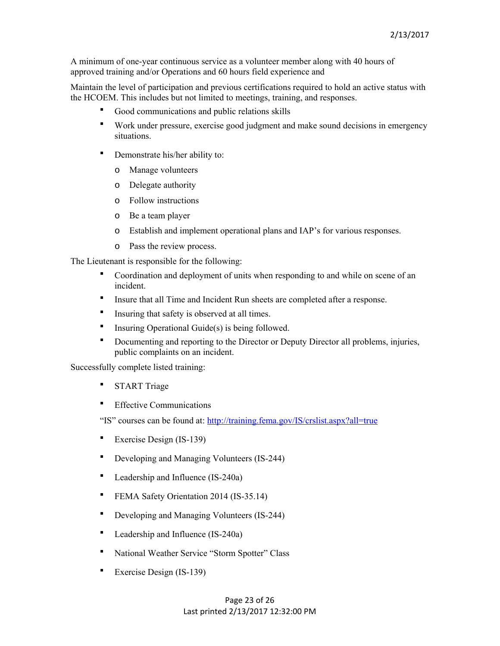A minimum of one-year continuous service as a volunteer member along with 40 hours of approved training and/or Operations and 60 hours field experience and

Maintain the level of participation and previous certifications required to hold an active status with the HCOEM. This includes but not limited to meetings, training, and responses.

- Good communications and public relations skills
- Work under pressure, exercise good judgment and make sound decisions in emergency situations.
- Demonstrate his/her ability to:
	- o Manage volunteers
	- o Delegate authority
	- o Follow instructions
	- o Be a team player
	- o Establish and implement operational plans and IAP's for various responses.
	- o Pass the review process.

The Lieutenant is responsible for the following:

- Coordination and deployment of units when responding to and while on scene of an incident.
- Insure that all Time and Incident Run sheets are completed after a response.
- Insuring that safety is observed at all times.
- Insuring Operational Guide $(s)$  is being followed.
- Documenting and reporting to the Director or Deputy Director all problems, injuries, public complaints on an incident.

Successfully complete listed training:

- **START Triage**
- **Effective Communications**

"IS" courses can be found at: http://training.fema.gov/IS/crslist.aspx?all=true

- **Exercise Design (IS-139)**
- Developing and Managing Volunteers (IS-244)
- Leadership and Influence (IS-240a)
- FEMA Safety Orientation 2014 (IS-35.14)
- Developing and Managing Volunteers (IS-244)
- Leadership and Influence (IS-240a)
- National Weather Service "Storm Spotter" Class
- **Exercise Design (IS-139)**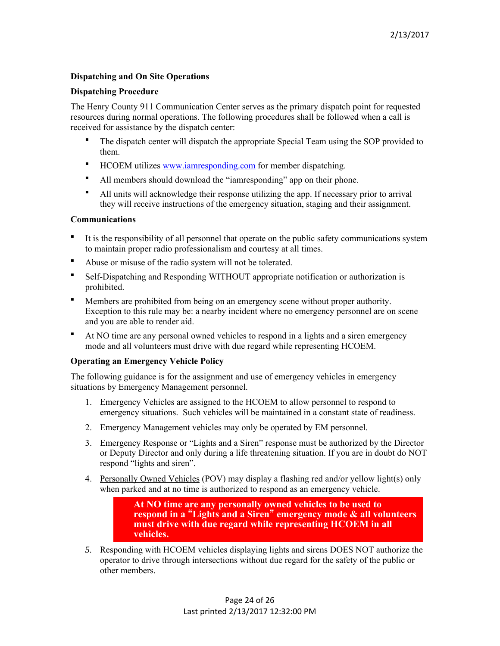# **Dispatching and On Site Operations**

# **Dispatching Procedure**

The Henry County 911 Communication Center serves as the primary dispatch point for requested resources during normal operations. The following procedures shall be followed when a call is received for assistance by the dispatch center:

- The dispatch center will dispatch the appropriate Special Team using the SOP provided to them.
- HCOEM utilizes www.iamresponding.com for member dispatching.
- All members should download the "iamresponding" app on their phone.
- All units will acknowledge their response utilizing the app. If necessary prior to arrival they will receive instructions of the emergency situation, staging and their assignment.

# **Communications**

- It is the responsibility of all personnel that operate on the public safety communications system to maintain proper radio professionalism and courtesy at all times.
- Abuse or misuse of the radio system will not be tolerated.
- Self-Dispatching and Responding WITHOUT appropriate notification or authorization is prohibited.
- Members are prohibited from being on an emergency scene without proper authority. Exception to this rule may be: a nearby incident where no emergency personnel are on scene and you are able to render aid.
- At NO time are any personal owned vehicles to respond in a lights and a siren emergency mode and all volunteers must drive with due regard while representing HCOEM.

# **Operating an Emergency Vehicle Policy**

The following guidance is for the assignment and use of emergency vehicles in emergency situations by Emergency Management personnel.

- 1. Emergency Vehicles are assigned to the HCOEM to allow personnel to respond to emergency situations. Such vehicles will be maintained in a constant state of readiness.
- 2. Emergency Management vehicles may only be operated by EM personnel.
- 3. Emergency Response or "Lights and a Siren" response must be authorized by the Director or Deputy Director and only during a life threatening situation. If you are in doubt do NOT respond "lights and siren".
- 4. Personally Owned Vehicles (POV) may display a flashing red and/or yellow light(s) only when parked and at no time is authorized to respond as an emergency vehicle.

**At NO time are any personally owned vehicles to be used to respond in a "Lights and a Siren" emergency mode & all volunteers must drive with due regard while representing HCOEM in all vehicles.**

*5.* Responding with HCOEM vehicles displaying lights and sirens DOES NOT authorize the operator to drive through intersections without due regard for the safety of the public or other members.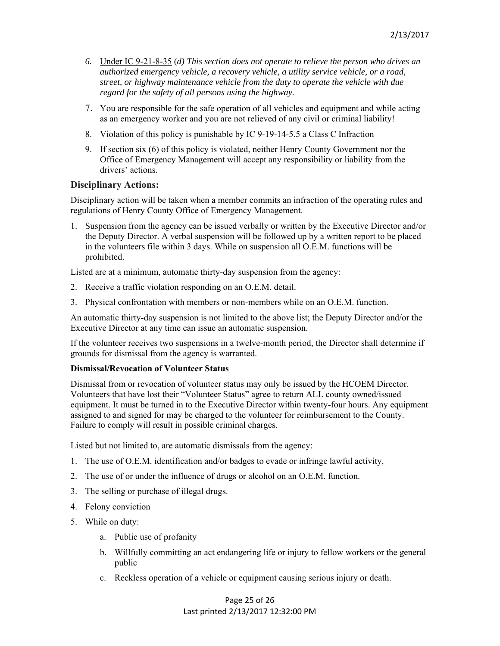- *6.* Under IC 9-21-8-35 (*d) This section does not operate to relieve the person who drives an authorized emergency vehicle, a recovery vehicle, a utility service vehicle, or a road, street, or highway maintenance vehicle from the duty to operate the vehicle with due regard for the safety of all persons using the highway.*
- 7. You are responsible for the safe operation of all vehicles and equipment and while acting as an emergency worker and you are not relieved of any civil or criminal liability!
- 8. Violation of this policy is punishable by IC 9-19-14-5.5 a Class C Infraction
- 9. If section six (6) of this policy is violated, neither Henry County Government nor the Office of Emergency Management will accept any responsibility or liability from the drivers' actions.

# **Disciplinary Actions:**

Disciplinary action will be taken when a member commits an infraction of the operating rules and regulations of Henry County Office of Emergency Management.

1. Suspension from the agency can be issued verbally or written by the Executive Director and/or the Deputy Director. A verbal suspension will be followed up by a written report to be placed in the volunteers file within 3 days. While on suspension all O.E.M. functions will be prohibited.

Listed are at a minimum, automatic thirty-day suspension from the agency:

- 2. Receive a traffic violation responding on an O.E.M. detail.
- 3. Physical confrontation with members or non-members while on an O.E.M. function.

An automatic thirty-day suspension is not limited to the above list; the Deputy Director and/or the Executive Director at any time can issue an automatic suspension.

If the volunteer receives two suspensions in a twelve-month period, the Director shall determine if grounds for dismissal from the agency is warranted.

# **Dismissal/Revocation of Volunteer Status**

Dismissal from or revocation of volunteer status may only be issued by the HCOEM Director. Volunteers that have lost their "Volunteer Status" agree to return ALL county owned/issued equipment. It must be turned in to the Executive Director within twenty-four hours. Any equipment assigned to and signed for may be charged to the volunteer for reimbursement to the County. Failure to comply will result in possible criminal charges.

Listed but not limited to, are automatic dismissals from the agency:

- 1. The use of O.E.M. identification and/or badges to evade or infringe lawful activity.
- 2. The use of or under the influence of drugs or alcohol on an O.E.M. function.
- 3. The selling or purchase of illegal drugs.
- 4. Felony conviction
- 5. While on duty:
	- a. Public use of profanity
	- b. Willfully committing an act endangering life or injury to fellow workers or the general public
	- c. Reckless operation of a vehicle or equipment causing serious injury or death.